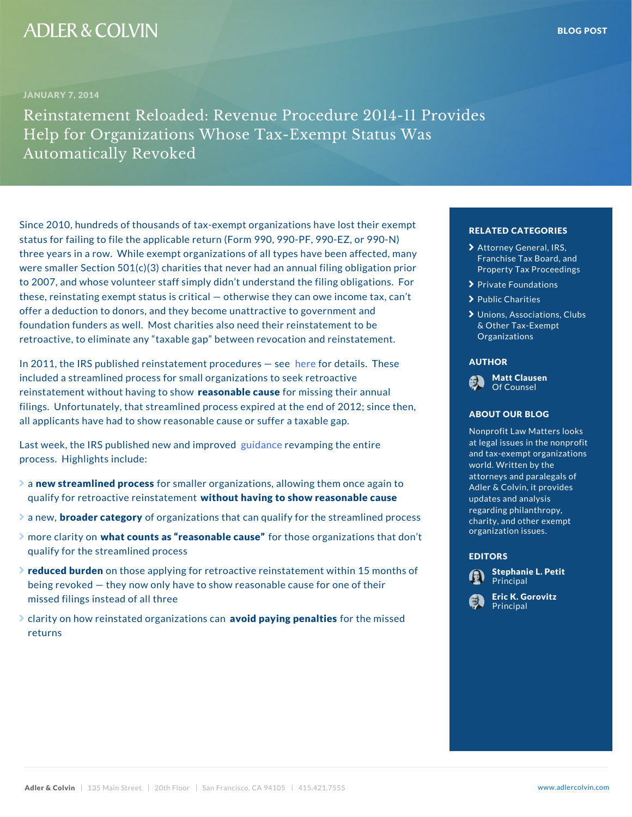Since 2010, hundreds of thousands of tax-exempt organi status for failing to file the applicable return (Form 990, PF, 200-PF, 990, 990, 200-PF, 990-PF, 990-PF, 990three years in a row. While exempt organizations of all were smaller Section  $501(c)(3)$  charities that never had to 2007, and whose volunteer staff simply didn t underst these, reinstating exempt status is critical otherwise the public charities thax offer a deduction to donors, and they become unattracti foundation funders as well. Most charities also need th retroactive, to eliminate any taxable gap between revo<sup>canizations</sup>

In 2011, the IRS published reinstat[eme](�� h t t p : / / w w w . a d l e r c o l v i n . c o m / r e s o u r c e s / C l i e n t   A l e r t   -   R e v o c a t i o n   a n d   R e i n s t a t e m e n t   ( 0 0 3 3 7 7 1 8 ) . p d f)erne to probectead lusres T[he](�� h t t p : / / w w w . a d l e r c o l v i n . c o m / r e s o u r c e s / C l i e n t   A l e r t   -   R e v o c a t i o n   a n d   R e i n s t a t e m e n t   ( 0 0 3 3 7 7 1 8 ) . p d f)s included a streamlined process for small organizations reinstatement without haevaing ntable beholoment ssing their anni filings. Unfortunately, that streamlined process expired at the end of 2012; sin all applicants have had to show reasonable cause or suf

Last week, the IRS published que wa ameet amping etche entire process. Highlights include:

- $\geq$  anew streamlined for root smaller organizations, allowing the qualify for retroactive wetim state anveining to show reasonab
- $\geq$  a new, cader category ganizations that can qualify for the streamline processes and processes and processes and processes and processes and processes and processes and processes and processes and processes and proce
- $\geq$  more claring that no ounts as reason factle hoses of qanizations qualify for the streamlined process
- $\ge$  reduced buodethose applying for retroactive reinstatem being revoked they now only have to show reasonable **cause for the cause for the cause for the cause** for missed filings instead of all three
- $\blacktriangleright$  clarity on how reinstated oergonaindizpaatyioinnigs peefonalthiees missed returns

# RELATED CATEGORIE

- > [Attorney Gene](�� h t t p s : / / w w w . a d l e r c o l v i n . c o m / b l o g / c a t e g o r y / a t t o r n e y - g e n e r a l - i r s - f r a n c h i s e - t a x - b o a r d - a n d - p r o p e r t y - t a x - p r o c e e d i n g s /)ral, IR [Franchise Tax B](�� h t t p s : / / w w w . a d l e r c o l v i n . c o m / b l o g / c a t e g o r y / a t t o r n e y - g e n e r a l - i r s - f r a n c h i s e - t a x - b o a r d - a n d - p r o p e r t y - t a x - p r o c e e d i n g s /)oard Ct Property Tax Procee at
- **>** Private Foundations 10
- $\sum$  Public Charities
- $\blacktriangleright$  Unions, Associations & Other Tax-Exempt)e [Organiza](�� h t t p s : / / w w w . a d l e r c o l v i n . c o m / b l o g / c a t e g o r y / u n i o n s - a s s o c i a t i o n s - c l u b s - o t h e r - t a x - e x e m p t - o r g a n i z a t i o n s /)tions

### AUTHOR

Matt Clausen Of Counsel

# ABOUT OUR BLOG

Nonprofit Law Matters at legal issues in the and tax-exempt organ world. Written by the attorneys and paraleg Adler & Colvin, it pro updates and analysis regarding philanthrop charity, and other  $ex$ organization issues.

# EDITORS

Stephanie L. Petitof Principal

[Eric K. Go](�� h t t p s : / / w w w . a d l e r c o l v i n . c o m / e r i c - k - g o r o v i t z /)rovitz **Principal**